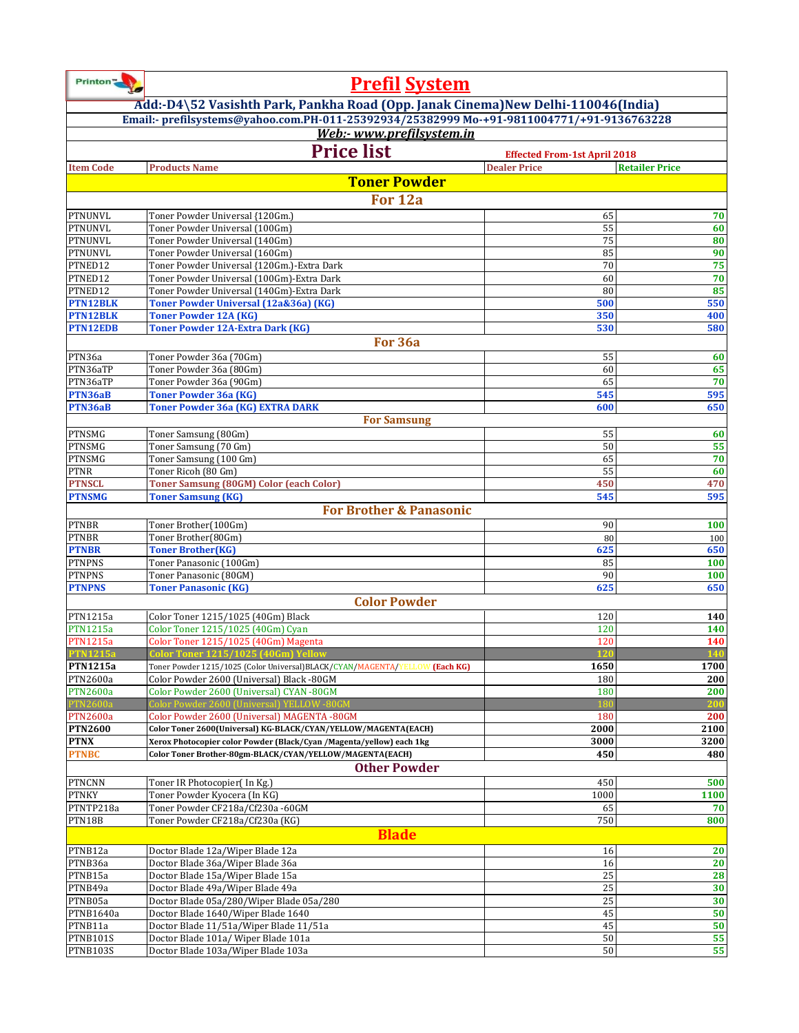| Printon <sup>"</sup>               | <b>Prefil System</b>                                                                                                             |                                     |                       |  |
|------------------------------------|----------------------------------------------------------------------------------------------------------------------------------|-------------------------------------|-----------------------|--|
|                                    | Add:-D4\52 Vasishth Park, Pankha Road (Opp. Janak Cinema) New Delhi-110046 (India)                                               |                                     |                       |  |
|                                    | Email:- prefilsystems@yahoo.com.PH-011-25392934/25382999 Mo-+91-9811004771/+91-9136763228                                        |                                     |                       |  |
|                                    | Web:- www.prefilsystem.in                                                                                                        |                                     |                       |  |
|                                    | <b>Price list</b>                                                                                                                | <b>Effected From-1st April 2018</b> |                       |  |
| <b>Item Code</b>                   | <b>Products Name</b>                                                                                                             | <b>Dealer Price</b>                 | <b>Retailer Price</b> |  |
|                                    | <b>Toner Powder</b>                                                                                                              |                                     |                       |  |
|                                    | For 12a                                                                                                                          |                                     |                       |  |
| <b>PTNUNVL</b>                     | Toner Powder Universal {120Gm.]                                                                                                  | 65                                  | 70                    |  |
| <b>PTNUNVL</b>                     | Toner Powder Universal (100Gm)                                                                                                   | 55                                  | 60                    |  |
| PTNUNVL                            | Toner Powder Universal (140Gm)                                                                                                   | 75                                  | 80                    |  |
| PTNUNVL<br>PTNED12                 | Toner Powder Universal (160Gm)<br>Toner Powder Universal {120Gm.}-Extra Dark                                                     | 85<br>70                            | 90<br>75              |  |
| PTNED12                            | Toner Powder Universal (100Gm)-Extra Dark                                                                                        | 60                                  | 70                    |  |
| PTNED12                            | Toner Powder Universal (140Gm)-Extra Dark                                                                                        | 80                                  | 85                    |  |
| <b>PTN12BLK</b>                    | Toner Powder Universal (12a&36a) (KG)                                                                                            | 500                                 | 550                   |  |
| <b>PTN12BLK</b>                    | <b>Toner Powder 12A (KG)</b>                                                                                                     | 350                                 | 400                   |  |
| <b>PTN12EDB</b>                    | <b>Toner Powder 12A-Extra Dark (KG)</b>                                                                                          | 530                                 | 580                   |  |
|                                    | For 36a                                                                                                                          |                                     |                       |  |
| PTN36a<br>PTN36aTP                 | Toner Powder 36a (70Gm)<br>Toner Powder 36a (80Gm)                                                                               | 55<br>60                            | 60<br>65              |  |
| PTN36aTP                           | Toner Powder 36a (90Gm)                                                                                                          | 65                                  | 70                    |  |
| PTN36aB                            | <b>Toner Powder 36a (KG)</b>                                                                                                     | 545                                 | 595                   |  |
| PTN36aB                            | Toner Powder 36a (KG) EXTRA DARK                                                                                                 | 600                                 | 650                   |  |
|                                    | <b>For Samsung</b>                                                                                                               |                                     |                       |  |
| PTNSMG                             | Toner Samsung (80Gm)                                                                                                             | 55                                  | 60                    |  |
| PTNSMG<br><b>PTNSMG</b>            | Toner Samsung (70 Gm)<br>Toner Samsung (100 Gm)                                                                                  | 50<br>65                            | 55<br>70              |  |
| PTNR                               | Toner Ricoh (80 Gm)                                                                                                              | 55                                  | 60                    |  |
| <b>PTNSCL</b>                      | <b>Toner Samsung (80GM) Color (each Color)</b>                                                                                   | 450                                 | 470                   |  |
| <b>PTNSMG</b>                      | <b>Toner Samsung (KG)</b>                                                                                                        | 545                                 | 595                   |  |
|                                    | <b>For Brother &amp; Panasonic</b>                                                                                               |                                     |                       |  |
| <b>PTNBR</b>                       | Toner Brother(100Gm)                                                                                                             | 90                                  | 100                   |  |
| <b>PTNBR</b>                       | Toner Brother(80Gm)                                                                                                              | 80                                  | 100                   |  |
| <b>PTNBR</b><br><b>PTNPNS</b>      | <b>Toner Brother(KG)</b><br>Toner Panasonic (100Gm)                                                                              | 625<br>85                           | 650<br>100            |  |
| <b>PTNPNS</b>                      | Toner Panasonic (80GM)                                                                                                           | 90                                  | 100                   |  |
| <b>PTNPNS</b>                      | <b>Toner Panasonic (KG)</b>                                                                                                      | 625                                 | 650                   |  |
|                                    | <b>Color Powder</b>                                                                                                              |                                     |                       |  |
| PTN1215a                           | Color Toner 1215/1025 (40Gm) Black                                                                                               | 120                                 | 140                   |  |
| <b>PTN1215a</b>                    | Color Toner 1215/1025 (40Gm) Cyan                                                                                                | 120                                 | 140                   |  |
| <b>PTN1215a</b>                    | Color Toner 1215/1025 (40Gm) Magenta                                                                                             | 120                                 | 140                   |  |
| <b>PTN1215a</b><br><b>PTN1215a</b> | Color Toner 1215/1025 (40Gm) Yellow<br>Toner Powder 1215/1025 (Color Universal)BLACK/CYAN/MAGENTA/YELLOW (Each KG)               | 1650                                | 1700                  |  |
| PTN2600a                           | Color Powder 2600 (Universal) Black -80GM                                                                                        | 180                                 | 200                   |  |
| <b>PTN2600a</b>                    | Color Powder 2600 (Universal) CYAN -80GM                                                                                         | 180                                 | 200                   |  |
| <b>PTN2600a</b>                    | Color Powder 2600 (Universal) YELLOW -80GM                                                                                       | 18 <sub>0</sub>                     | 200                   |  |
| <b>PTN2600a</b>                    | Color Powder 2600 (Universal) MAGENTA -80GM                                                                                      | 180                                 | 200                   |  |
| <b>PTN2600</b>                     | Color Toner 2600(Universal) KG-BLACK/CYAN/YELLOW/MAGENTA(EACH)                                                                   | 2000                                | 2100                  |  |
| <b>PTNX</b><br><b>PTNBC</b>        | Xerox Photocopier color Powder (Black/Cyan /Magenta/yellow) each 1kg<br>Color Toner Brother-80gm-BLACK/CYAN/YELLOW/MAGENTA(EACH) | 3000<br>450                         | 3200<br>480           |  |
|                                    | <b>Other Powder</b>                                                                                                              |                                     |                       |  |
| <b>PTNCNN</b>                      | Toner IR Photocopier(In Kg.)                                                                                                     | 450                                 | 500                   |  |
| <b>PTNKY</b>                       | Toner Powder Kyocera (In KG)                                                                                                     | 1000                                | 1100                  |  |
| PTNTP218a                          | Toner Powder CF218a/Cf230a -60GM                                                                                                 | 65                                  | 70                    |  |
| PTN18B                             | Toner Powder CF218a/Cf230a (KG)                                                                                                  | 750                                 | 800                   |  |
|                                    | <b>Blade</b>                                                                                                                     |                                     |                       |  |
| PTNB12a                            | Doctor Blade 12a/Wiper Blade 12a                                                                                                 | 16                                  | 20                    |  |
| PTNB36a                            | Doctor Blade 36a/Wiper Blade 36a                                                                                                 | 16                                  | 20                    |  |
| PTNB15a                            | Doctor Blade 15a/Wiper Blade 15a                                                                                                 | 25<br>25                            | 28                    |  |
| PTNB49a<br>PTNB05a                 | Doctor Blade 49a/Wiper Blade 49a<br>Doctor Blade 05a/280/Wiper Blade 05a/280                                                     | 25                                  | 30<br>30              |  |
| PTNB1640a                          | Doctor Blade 1640/Wiper Blade 1640                                                                                               | 45                                  | 50                    |  |
| PTNB11a                            | Doctor Blade 11/51a/Wiper Blade 11/51a                                                                                           | 45                                  | 50                    |  |
| PTNB101S                           | Doctor Blade 101a/ Wiper Blade 101a                                                                                              | 50                                  | 55                    |  |
| PTNB103S                           | Doctor Blade 103a/Wiper Blade 103a                                                                                               | 50                                  | 55                    |  |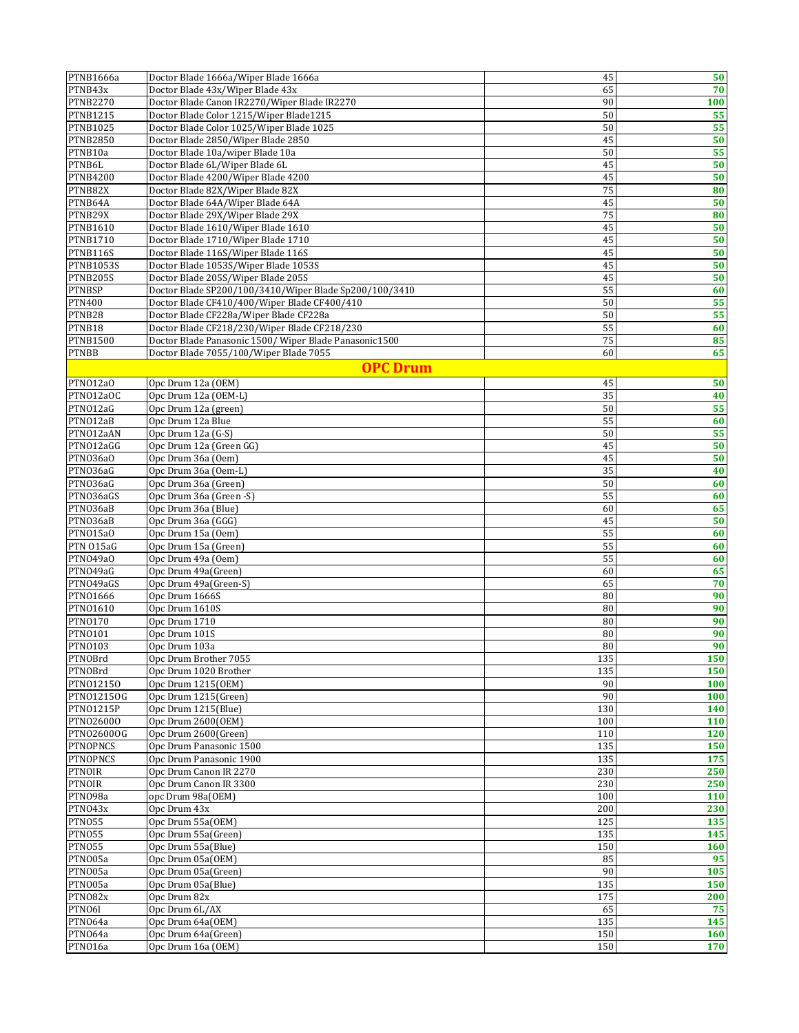| PTNB1666a                  | Doctor Blade 1666a/Wiper Blade 1666a                   | 45       | 50       |
|----------------------------|--------------------------------------------------------|----------|----------|
| PTNB43x                    | Doctor Blade 43x/Wiper Blade 43x                       | 65       | 70       |
| <b>PTNB2270</b>            | Doctor Blade Canon IR2270/Wiper Blade IR2270           | 90       | 100      |
| <b>PTNB1215</b>            | Doctor Blade Color 1215/Wiper Blade1215                | 50       | 55       |
| PTNB1025                   | Doctor Blade Color 1025/Wiper Blade 1025               | 50       | 55       |
| <b>PTNB2850</b>            | Doctor Blade 2850/Wiper Blade 2850                     | 45       | 50       |
| PTNB10a                    | Doctor Blade 10a/wiper Blade 10a                       | 50       | 55       |
| PTNB6L                     | Doctor Blade 6L/Wiper Blade 6L                         | 45       | 50       |
| <b>PTNB4200</b>            | Doctor Blade 4200/Wiper Blade 4200                     | 45       | 50       |
| PTNB82X                    | Doctor Blade 82X/Wiper Blade 82X                       | 75       | 80       |
| PTNB64A                    | Doctor Blade 64A/Wiper Blade 64A                       | 45       | 50       |
| PTNB29X                    | Doctor Blade 29X/Wiper Blade 29X                       | 75       | 80       |
| <b>PTNB1610</b>            | Doctor Blade 1610/Wiper Blade 1610                     | 45       | 50       |
| PTNB1710                   | Doctor Blade 1710/Wiper Blade 1710                     | 45       | 50       |
| PTNB116S                   | Doctor Blade 116S/Wiper Blade 116S                     | 45       | 50       |
| <b>PTNB1053S</b>           | Doctor Blade 1053S/Wiper Blade 1053S                   | 45       | 50       |
| PTNB205S                   | Doctor Blade 205S/Wiper Blade 205S                     | 45       | 50       |
| <b>PTNBSP</b>              | Doctor Blade SP200/100/3410/Wiper Blade Sp200/100/3410 | 55       | 60       |
| <b>PTN400</b>              | Doctor Blade CF410/400/Wiper Blade CF400/410           | 50       | 55       |
| PTNB28                     | Doctor Blade CF228a/Wiper Blade CF228a                 | 50       | 55       |
| PTNB18                     | Doctor Blade CF218/230/Wiper Blade CF218/230           | 55       | 60       |
| <b>PTNB1500</b>            | Doctor Blade Panasonic 1500/ Wiper Blade Panasonic1500 | 75       | 85       |
| <b>PTNBB</b>               | Doctor Blade 7055/100/Wiper Blade 7055                 | 60       | 65       |
|                            | <b>OPC Drum</b>                                        |          |          |
| PTN012a0                   | Opc Drum 12a (OEM)                                     | 45       | 50       |
| PTN012a0C                  | Opc Drum 12a (OEM-L)                                   | 35       | 40       |
| PTNO12aG                   | Opc Drum 12a (green)                                   | 50       | 55       |
| PTN012aB                   | Opc Drum 12a Blue                                      | 55       | 60       |
| PTNO12aAN                  | Opc Drum 12a (G-S)                                     | 50       | 55       |
| PTNO12aGG                  | Opc Drum 12a (Green GG)                                | 45       | 50       |
| PTN036a0                   | Opc Drum 36a (Oem)                                     | 45       | 50       |
| PTN036aG                   | Opc Drum 36a (Oem-L)                                   | 35       | 40       |
| PTN036aG                   | Opc Drum 36a (Green)                                   | 50       | 60       |
| PTN036aGS                  | Opc Drum 36a (Green -S)                                | 55       | 60       |
| PTN036aB                   | Opc Drum 36a (Blue)                                    | 60       | 65       |
| PTN036aB                   | Opc Drum 36a (GGG)                                     | 45       | 50       |
| PTN015a0                   | Opc Drum 15a (Oem)                                     | 55       | 60       |
| PTN 015aG                  | Opc Drum 15a (Green)                                   | 55       | 60       |
| PTN049a0                   | Opc Drum 49a (Oem)                                     | 55       | 60       |
| PTNO49aG                   | Opc Drum 49a(Green)                                    | 60       | 65       |
| PTNO49aGS                  | Opc Drum 49a(Green-S)                                  | 65       | 70       |
| PTN01666                   | Opc Drum 1666S                                         | 80       | 90       |
| PTN01610<br><b>PTN0170</b> | Opc Drum 1610S<br>Opc Drum 1710                        | 80<br>80 | 90<br>90 |
| PTN0101                    | Opc Drum 101S                                          | 80       | 90       |
| <b>PTNO103</b>             | Opc Drum 103a                                          | 80       | 90       |
| PTNOBrd                    | Opc Drum Brother 7055                                  | 135      | 150      |
| PTNOBrd                    | Opc Drum 1020 Brother                                  | 135      | 150      |
| PTN012150                  | Opc Drum 1215(OEM)                                     | 90       | 100      |
| PTN012150G                 | Opc Drum 1215(Green)                                   | 90       | 100      |
| <b>PTN01215P</b>           | Opc Drum 1215(Blue)                                    | 130      | 140      |
| PTN026000                  | Opc Drum 2600(OEM)                                     | 100      | 110      |
| PTN026000G                 | Opc Drum 2600(Green)                                   | 110      | 120      |
| <b>PTNOPNCS</b>            | Opc Drum Panasonic 1500                                | 135      | 150      |
| <b>PTNOPNCS</b>            | Opc Drum Panasonic 1900                                | 135      | 175      |
| <b>PTNOIR</b>              | Opc Drum Canon IR 2270                                 | 230      | 250      |
| <b>PTNOIR</b>              | Opc Drum Canon IR 3300                                 | 230      | 250      |
| PTN098a                    | opc Drum 98a(OEM)                                      | 100      | 110      |
| PTN043x                    | Opc Drum 43x                                           | 200      | 230      |
| PTN055                     | Opc Drum 55a(OEM)                                      | 125      | 135      |
| PTN055                     | Opc Drum 55a(Green)                                    | 135      | 145      |
| PTN055                     | Opc Drum 55a(Blue)                                     | 150      | 160      |
| PTN005a                    | Opc Drum 05a(OEM)                                      | 85       | 95       |
| PTN005a                    | Opc Drum 05a(Green)                                    | 90       | 105      |
| PTNO05a                    | Opc Drum 05a(Blue)                                     | 135      | 150      |
| PTN082x                    | Opc Drum 82x                                           | 175      | 200      |
| PTNO6l                     | Opc Drum 6L/AX                                         | 65       | 75       |
| PTN064a                    | Opc Drum 64a(OEM)                                      | 135      | 145      |
| PTN064a                    | Opc Drum 64a(Green)                                    | 150      | 160      |
| PTNO16a                    | Opc Drum 16a (OEM)                                     | 150      | 170      |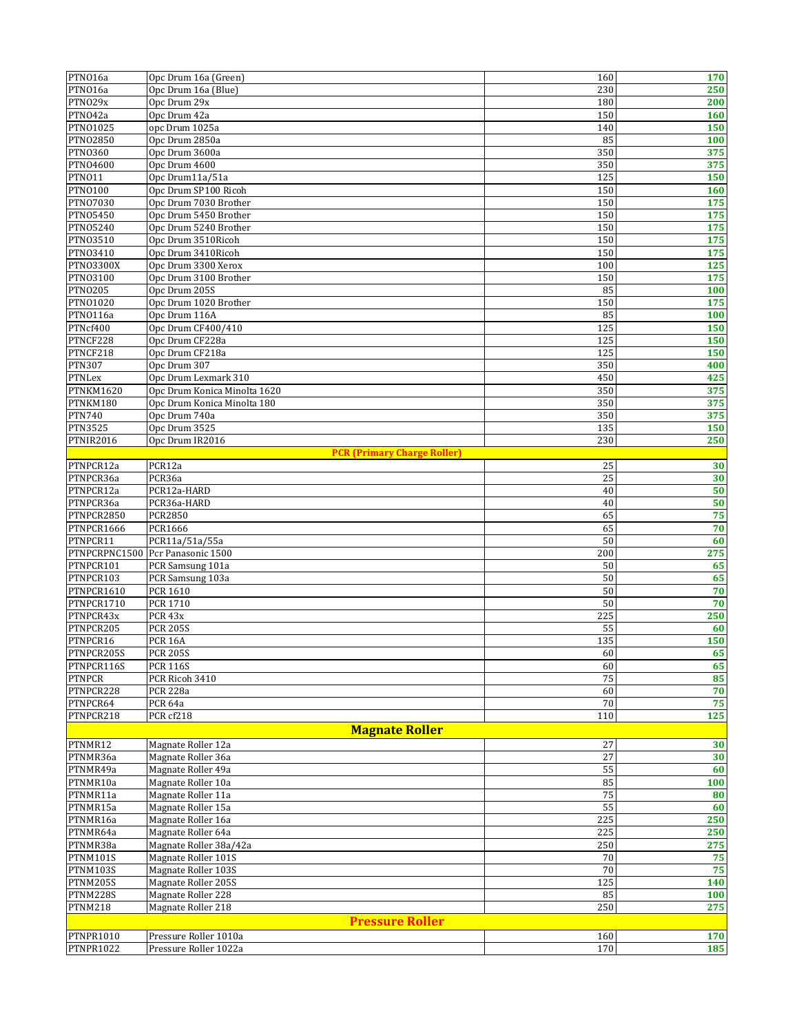| PTN016a                         | Opc Drum 16a (Green)                                        | 160              | 170        |
|---------------------------------|-------------------------------------------------------------|------------------|------------|
| PTNO16a                         | Opc Drum 16a (Blue)                                         | 230              | 250        |
| PTNO29x                         | Opc Drum 29x                                                | 180              | 200        |
| PTNO42a                         | Opc Drum 42a                                                | 150              | 160        |
| <b>PTN01025</b>                 | opc Drum 1025a                                              | 140              | 150        |
| PTN02850                        | Opc Drum 2850a                                              | 85               | 100        |
| <b>PTN0360</b>                  | Opc Drum 3600a                                              | 350              | 375        |
| PTN04600                        | Opc Drum 4600                                               | 350              | 375        |
| PTNO11                          | Opc Drum11a/51a                                             | 125              | 150        |
| <b>PTN0100</b>                  | Opc Drum SP100 Ricoh                                        | 150              | 160        |
| <b>PTN07030</b>                 | Opc Drum 7030 Brother                                       | 150              | 175        |
| <b>PTN05450</b>                 | Opc Drum 5450 Brother                                       | 150              | 175        |
| <b>PTN05240</b>                 | Opc Drum 5240 Brother                                       | 150              | 175        |
| <b>PTN03510</b>                 | Opc Drum 3510Ricoh                                          | 150              | 175        |
| PTN03410                        | Opc Drum 3410Ricoh                                          | 150              | 175        |
| <b>PTNO3300X</b>                | Opc Drum 3300 Xerox                                         | 100              | 125        |
| PTN03100                        | Opc Drum 3100 Brother                                       | 150              | 175        |
| <b>PTN0205</b>                  | Opc Drum 205S                                               | 85               | 100        |
| PTN01020                        | Opc Drum 1020 Brother                                       | 150              | 175        |
| PTN0116a                        | Opc Drum 116A                                               | 85               | 100        |
| PTNcf400                        | Opc Drum CF400/410                                          | 125              | 150        |
| PTNCF228                        | Opc Drum CF228a                                             | 125              | 150        |
| PTNCF218                        | Opc Drum CF218a                                             | 125              | 150        |
| <b>PTN307</b>                   | Opc Drum 307                                                | 350              | 400        |
| <b>PTNLex</b>                   | Opc Drum Lexmark 310                                        | 450              | 425        |
| PTNKM1620<br>PTNKM180           | Opc Drum Konica Minolta 1620<br>Opc Drum Konica Minolta 180 | 350<br>350       | 375<br>375 |
|                                 |                                                             |                  |            |
| <b>PTN740</b><br><b>PTN3525</b> | Opc Drum 740a<br>Opc Drum 3525                              | 350<br>135       | 375        |
| PTNIR2016                       | Opc Drum IR2016                                             | 230              | 150<br>250 |
|                                 | <b>PCR (Primary Charge Roller)</b>                          |                  |            |
| PTNPCR12a                       | PCR12a                                                      | 25               | 30         |
| PTNPCR36a                       | PCR36a                                                      | 25               | 30         |
| PTNPCR12a                       | PCR12a-HARD                                                 | 40               | 50         |
| PTNPCR36a                       | PCR36a-HARD                                                 | 40               | 50         |
| PTNPCR2850                      | <b>PCR2850</b>                                              | 65               | 75         |
| PTNPCR1666                      | <b>PCR1666</b>                                              | 65               | 70         |
| PTNPCR11                        | PCR11a/51a/55a                                              | 50               | 60         |
|                                 | PTNPCRPNC1500 Pcr Panasonic 1500                            | 200              | 275        |
| PTNPCR101                       | PCR Samsung 101a                                            | 50               | 65         |
| PTNPCR103                       | PCR Samsung 103a                                            | 50               | 65         |
| PTNPCR1610                      | PCR 1610                                                    | 50               | 70         |
| PTNPCR1710                      | <b>PCR 1710</b>                                             | 50               | 70         |
| PTNPCR43x                       | PCR 43x                                                     | 225              | 250        |
| PTNPCR205                       | <b>PCR 205S</b>                                             | 55               | 60         |
| PTNPCR16                        | <b>PCR 16A</b>                                              | 135              | 150        |
| PTNPCR205S                      | <b>PCR 205S</b>                                             | 60               | 65         |
| PTNPCR116S                      | <b>PCR 116S</b>                                             | 60               | 65         |
| <b>PTNPCR</b>                   | PCR Ricoh 3410                                              | 75               | 85         |
| PTNPCR228                       | <b>PCR 228a</b>                                             | 60               | 70         |
| PTNPCR64                        | PCR 64a                                                     | $70\,$           | 75         |
| PTNPCR218                       | PCR cf218                                                   | 110              | 125        |
|                                 | <b>Magnate Roller</b>                                       |                  |            |
| PTNMR12                         | Magnate Roller 12a                                          | 27               | 30         |
| PTNMR36a                        | Magnate Roller 36a                                          | 27               | 30         |
| PTNMR49a                        | Magnate Roller 49a                                          | 55               | 60         |
| PTNMR10a                        | Magnate Roller 10a                                          | 85               | 100        |
| PTNMR11a                        | Magnate Roller 11a                                          | 75               | 80         |
| PTNMR15a                        | Magnate Roller 15a                                          | 55               | 60         |
| PTNMR16a                        | Magnate Roller 16a                                          | 225              | 250        |
| PTNMR64a                        | Magnate Roller 64a                                          | 225              | 250        |
| PTNMR38a                        | Magnate Roller 38a/42a                                      | 250              | 275        |
| PTNM101S                        | Magnate Roller 101S                                         | 70               | 75         |
| PTNM103S                        | Magnate Roller 103S                                         | 70               | 75         |
| PTNM205S                        | Magnate Roller 205S                                         | $\overline{125}$ | 140        |
| PTNM228S                        | Magnate Roller 228                                          | 85               | 100        |
| PTNM218                         | Magnate Roller 218                                          | 250              | 275        |
| <b>Pressure Roller</b>          |                                                             |                  |            |
| PTNPR1010                       | Pressure Roller 1010a                                       | 160              | 170        |
| PTNPR1022                       | Pressure Roller 1022a                                       | 170              | 185        |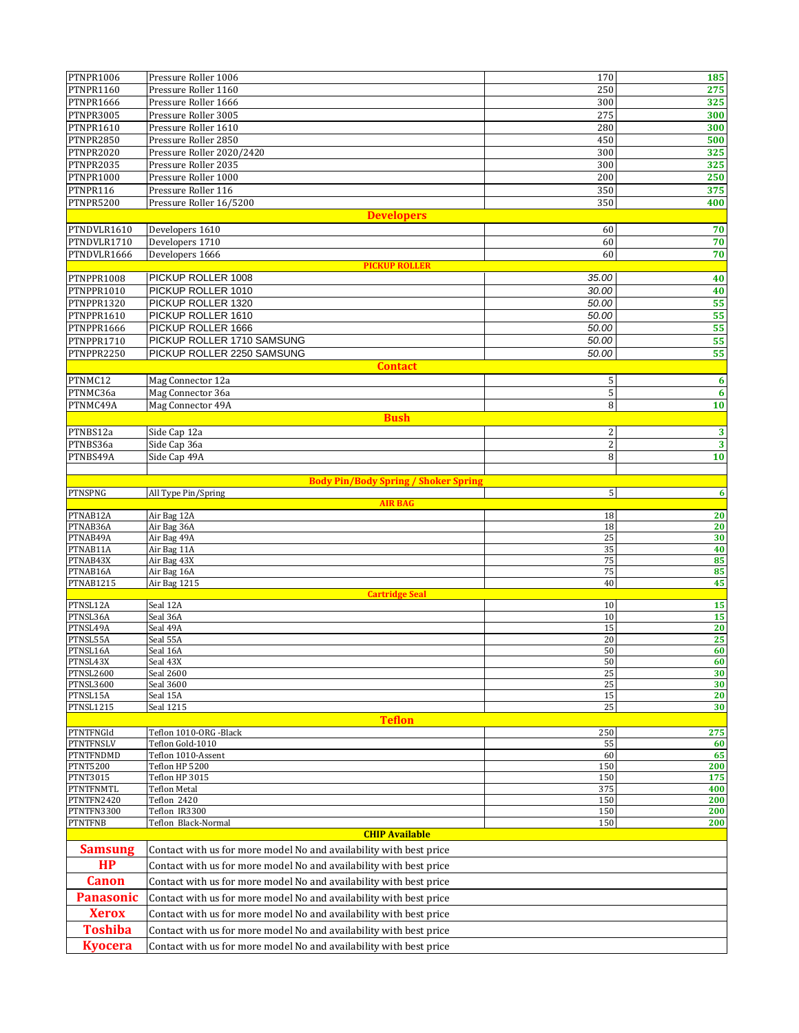| PTNPR1006                          | Pressure Roller 1006                                               | 170             | 185              |
|------------------------------------|--------------------------------------------------------------------|-----------------|------------------|
| PTNPR1160                          | Pressure Roller 1160                                               | 250             | 275              |
| PTNPR1666                          | Pressure Roller 1666                                               | 300             | 325              |
| PTNPR3005                          | Pressure Roller 3005                                               | 275             | 300              |
| PTNPR1610                          | Pressure Roller 1610                                               | 280             | 300              |
| <b>PTNPR2850</b>                   | Pressure Roller 2850                                               | 450             | 500              |
| PTNPR2020                          | Pressure Roller 2020/2420                                          | 300             | 325              |
| PTNPR2035                          | Pressure Roller 2035                                               | 300             | 325              |
| PTNPR1000                          | Pressure Roller 1000                                               | 200             | 250              |
| PTNPR116                           | Pressure Roller 116                                                | 350             | 375              |
| PTNPR5200                          | Pressure Roller 16/5200                                            | 350             | 400              |
|                                    | <b>Developers</b>                                                  |                 |                  |
|                                    |                                                                    |                 |                  |
| PTNDVLR1610                        | Developers 1610                                                    | 60              | 70               |
| PTNDVLR1710                        | Developers 1710                                                    | 60              | 70               |
| PTNDVLR1666                        | Developers 1666                                                    | 60              | 70               |
| PTNPPR1008                         | <b>PICKUP ROLLER</b><br>PICKUP ROLLER 1008                         | 35.00           |                  |
| PTNPPR1010                         | PICKUP ROLLER 1010                                                 | 30.00           | 40               |
|                                    |                                                                    |                 | 40               |
| PTNPPR1320                         | PICKUP ROLLER 1320                                                 | 50.00           | 55               |
| PTNPPR1610                         | PICKUP ROLLER 1610                                                 | 50.00           | 55               |
| PTNPPR1666                         | PICKUP ROLLER 1666                                                 | 50.00           | 55               |
| PTNPPR1710                         | PICKUP ROLLER 1710 SAMSUNG                                         | 50.00           | 55               |
| PTNPPR2250                         | PICKUP ROLLER 2250 SAMSUNG                                         | 50.00           | 55               |
|                                    | <b>Contact</b>                                                     |                 |                  |
| PTNMC12                            | Mag Connector 12a                                                  | 5               | $\boldsymbol{6}$ |
| PTNMC36a                           | Mag Connector 36a                                                  | 5               | $6\phantom{1}6$  |
| PTNMC49A                           | Mag Connector 49A                                                  | 8               | 10               |
|                                    | <b>Bush</b>                                                        |                 |                  |
| PTNBS12a                           | Side Cap 12a                                                       | $\overline{c}$  | 3                |
| PTNBS36a                           | Side Cap 36a                                                       | $\sqrt{2}$      | $\mathbf{3}$     |
| PTNBS49A                           | Side Cap 49A                                                       | 8               | 10               |
|                                    |                                                                    |                 |                  |
|                                    | <b>Body Pin/Body Spring / Shoker Spring</b>                        |                 |                  |
| PTNSPNG                            | All Type Pin/Spring                                                | $5\phantom{.0}$ | $\boldsymbol{6}$ |
|                                    | <b>AIR BAG</b>                                                     |                 |                  |
| PTNAB12A                           | Air Bag 12A                                                        | 18              | 20               |
| PTNAB36A                           | Air Bag 36A                                                        | 18              | 20               |
| PTNAB49A                           | Air Bag 49A                                                        | 25              | 30               |
| PTNAB11A                           | Air Bag 11A                                                        | 35              | 40               |
| PTNAB43X                           | Air Bag 43X                                                        | 75              | 85               |
| PTNAB16A<br><b>PTNAB1215</b>       | Air Bag 16A<br>Air Bag 1215                                        | 75<br>40        | 85<br>45         |
|                                    | <b>Cartridge Seal</b>                                              |                 |                  |
| PTNSL12A                           | Seal 12A                                                           | 10              | 15               |
| PTNSL36A                           | Seal 36A                                                           | 10              | 15               |
| PTNSL49A                           | Seal 49A                                                           | 15              | 20               |
| PTNSL55A                           | Seal 55A                                                           | 20              | 25               |
| PTNSL16A                           | Seal 16A                                                           | 50              | 60               |
| PTNSL43X                           | Seal 43X                                                           | 50              | 60               |
| PTNSL2600                          | Seal 2600                                                          | 25              | 30               |
| PTNSL3600                          | Seal 3600                                                          | 25              | 30               |
| PTNSL15A                           | Seal 15A                                                           | 15              | 20               |
| <b>PTNSL1215</b>                   | Seal 1215                                                          | 25              | 30               |
|                                    | <b>Teflon</b>                                                      |                 |                  |
| PTNTFNGId                          | Teflon 1010-ORG -Black                                             | 250             | 275              |
| PTNTFNSLV                          | Teflon Gold-1010                                                   | 55              | 60               |
| PTNTFNDMD                          | Teflon 1010-Assent                                                 | 60              | 65               |
| <b>PTNT5200</b><br><b>PTNT3015</b> | Teflon HP 5200<br>Teflon HP 3015                                   | 150<br>150      | 200<br>175       |
| PTNTFNMTL                          | <b>Teflon Metal</b>                                                | 375             | 400              |
| PTNTFN2420                         | Teflon 2420                                                        | 150             | 200              |
| PTNTFN3300                         | Teflon IR3300                                                      | 150             | 200              |
| <b>PTNTFNB</b>                     | Teflon Black-Normal                                                | 150             | 200              |
|                                    | <b>CHIP Available</b>                                              |                 |                  |
| <b>Samsung</b>                     | Contact with us for more model No and availability with best price |                 |                  |
|                                    |                                                                    |                 |                  |
| HP                                 | Contact with us for more model No and availability with best price |                 |                  |
| <b>Canon</b>                       | Contact with us for more model No and availability with best price |                 |                  |
| <b>Panasonic</b>                   | Contact with us for more model No and availability with best price |                 |                  |
| <b>Xerox</b>                       |                                                                    |                 |                  |
|                                    | Contact with us for more model No and availability with best price |                 |                  |
| <b>Toshiba</b>                     | Contact with us for more model No and availability with best price |                 |                  |
| <b>Kyocera</b>                     | Contact with us for more model No and availability with best price |                 |                  |
|                                    |                                                                    |                 |                  |